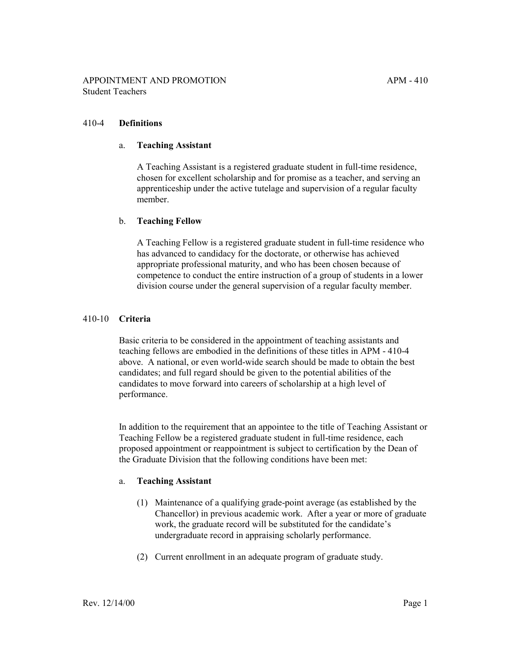## 410-4 **Definitions**

### a. **Teaching Assistant**

A Teaching Assistant is a registered graduate student in full-time residence, chosen for excellent scholarship and for promise as a teacher, and serving an apprenticeship under the active tutelage and supervision of a regular faculty member.

### b. **Teaching Fellow**

A Teaching Fellow is a registered graduate student in full-time residence who has advanced to candidacy for the doctorate, or otherwise has achieved appropriate professional maturity, and who has been chosen because of competence to conduct the entire instruction of a group of students in a lower division course under the general supervision of a regular faculty member.

### 410-10 **Criteria**

Basic criteria to be considered in the appointment of teaching assistants and teaching fellows are embodied in the definitions of these titles in APM - 410-4 above. A national, or even world-wide search should be made to obtain the best candidates; and full regard should be given to the potential abilities of the candidates to move forward into careers of scholarship at a high level of performance.

In addition to the requirement that an appointee to the title of Teaching Assistant or Teaching Fellow be a registered graduate student in full-time residence, each proposed appointment or reappointment is subject to certification by the Dean of the Graduate Division that the following conditions have been met:

#### a. **Teaching Assistant**

- (1) Maintenance of a qualifying grade-point average (as established by the Chancellor) in previous academic work. After a year or more of graduate work, the graduate record will be substituted for the candidate's undergraduate record in appraising scholarly performance.
- (2) Current enrollment in an adequate program of graduate study.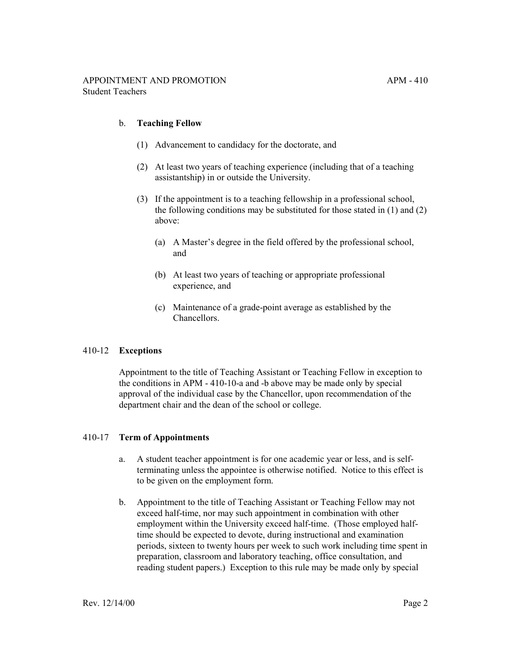### b. **Teaching Fellow**

- (1) Advancement to candidacy for the doctorate, and
- (2) At least two years of teaching experience (including that of a teaching assistantship) in or outside the University.
- (3) If the appointment is to a teaching fellowship in a professional school, the following conditions may be substituted for those stated in (1) and (2) above:
	- (a) A Master's degree in the field offered by the professional school, and
	- (b) At least two years of teaching or appropriate professional experience, and
	- (c) Maintenance of a grade-point average as established by the **Chancellors**

## 410-12 **Exceptions**

Appointment to the title of Teaching Assistant or Teaching Fellow in exception to the conditions in APM - 410-10-a and -b above may be made only by special approval of the individual case by the Chancellor, upon recommendation of the department chair and the dean of the school or college.

#### 410-17 **Term of Appointments**

- a. A student teacher appointment is for one academic year or less, and is selfterminating unless the appointee is otherwise notified. Notice to this effect is to be given on the employment form.
- b. Appointment to the title of Teaching Assistant or Teaching Fellow may not exceed half-time, nor may such appointment in combination with other employment within the University exceed half-time. (Those employed halftime should be expected to devote, during instructional and examination periods, sixteen to twenty hours per week to such work including time spent in preparation, classroom and laboratory teaching, office consultation, and reading student papers.) Exception to this rule may be made only by special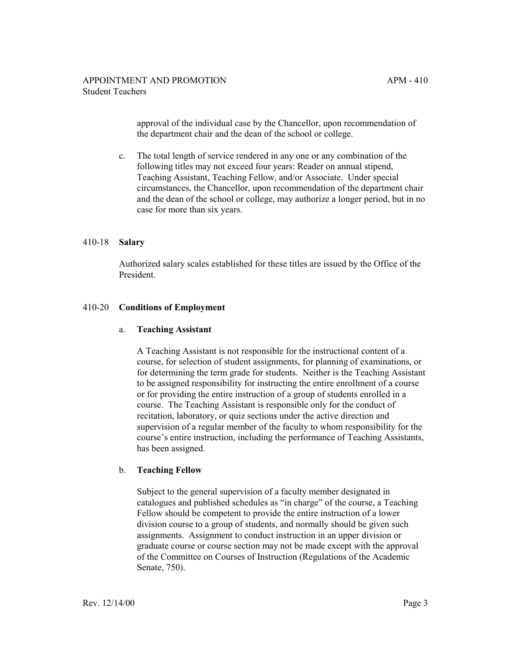approval of the individual case by the Chancellor, upon recommendation of the department chair and the dean of the school or college.

c. The total length of service rendered in any one or any combination of the following titles may not exceed four years: Reader on annual stipend, Teaching Assistant, Teaching Fellow, and/or Associate. Under special circumstances, the Chancellor, upon recommendation of the department chair and the dean of the school or college, may authorize a longer period, but in no case for more than six years.

### 410-18 **Salary**

Authorized salary scales established for these titles are issued by the Office of the President.

### 410-20 **Conditions of Employment**

#### a. **Teaching Assistant**

A Teaching Assistant is not responsible for the instructional content of a course, for selection of student assignments, for planning of examinations, or for determining the term grade for students. Neither is the Teaching Assistant to be assigned responsibility for instructing the entire enrollment of a course or for providing the entire instruction of a group of students enrolled in a course. The Teaching Assistant is responsible only for the conduct of recitation, laboratory, or quiz sections under the active direction and supervision of a regular member of the faculty to whom responsibility for the course's entire instruction, including the performance of Teaching Assistants, has been assigned.

#### b. **Teaching Fellow**

Subject to the general supervision of a faculty member designated in catalogues and published schedules as "in charge" of the course, a Teaching Fellow should be competent to provide the entire instruction of a lower division course to a group of students, and normally should be given such assignments. Assignment to conduct instruction in an upper division or graduate course or course section may not be made except with the approval of the Committee on Courses of Instruction (Regulations of the Academic Senate, 750).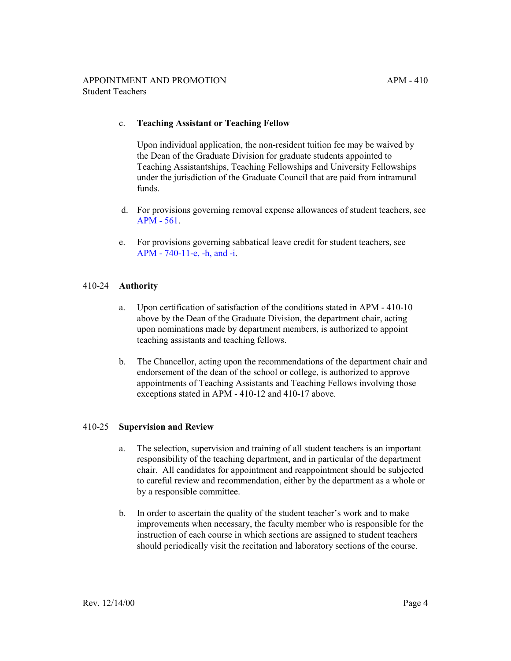## c. **Teaching Assistant or Teaching Fellow**

Upon individual application, the non-resident tuition fee may be waived by the Dean of the Graduate Division for graduate students appointed to Teaching Assistantships, Teaching Fellowships and University Fellowships under the jurisdiction of the Graduate Council that are paid from intramural funds.

- d. For provisions governing removal expense allowances of student teachers, see [APM - 561](http://ucop.edu/academic-personnel-programs/_files/apm/apm-561.pdf).
- e. For provisions governing sabbatical leave credit for student teachers, see [APM - 740-11-e, -h, and -i.](http://ucop.edu/academic-personnel-programs/_files/apm/apm-740.pdf)

# 410-24 **Authority**

- a. Upon certification of satisfaction of the conditions stated in APM 410-10 above by the Dean of the Graduate Division, the department chair, acting upon nominations made by department members, is authorized to appoint teaching assistants and teaching fellows.
- b. The Chancellor, acting upon the recommendations of the department chair and endorsement of the dean of the school or college, is authorized to approve appointments of Teaching Assistants and Teaching Fellows involving those exceptions stated in APM - 410-12 and 410-17 above.

## 410-25 **Supervision and Review**

- a. The selection, supervision and training of all student teachers is an important responsibility of the teaching department, and in particular of the department chair. All candidates for appointment and reappointment should be subjected to careful review and recommendation, either by the department as a whole or by a responsible committee.
- b. In order to ascertain the quality of the student teacher's work and to make improvements when necessary, the faculty member who is responsible for the instruction of each course in which sections are assigned to student teachers should periodically visit the recitation and laboratory sections of the course.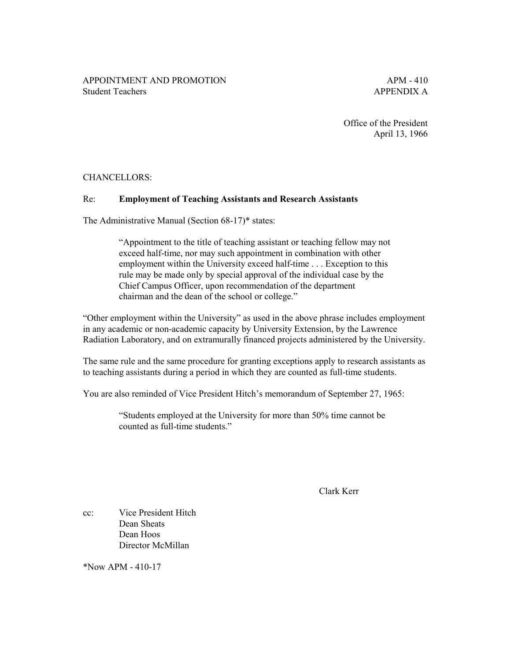Office of the President April 13, 1966

# CHANCELLORS:

## Re: **Employment of Teaching Assistants and Research Assistants**

The Administrative Manual (Section 68-17)\* states:

"Appointment to the title of teaching assistant or teaching fellow may not exceed half-time, nor may such appointment in combination with other employment within the University exceed half-time . . . Exception to this rule may be made only by special approval of the individual case by the Chief Campus Officer, upon recommendation of the department chairman and the dean of the school or college."

"Other employment within the University" as used in the above phrase includes employment in any academic or non-academic capacity by University Extension, by the Lawrence Radiation Laboratory, and on extramurally financed projects administered by the University.

The same rule and the same procedure for granting exceptions apply to research assistants as to teaching assistants during a period in which they are counted as full-time students.

You are also reminded of Vice President Hitch's memorandum of September 27, 1965:

"Students employed at the University for more than 50% time cannot be counted as full-time students."

Clark Kerr

cc: Vice President Hitch Dean Sheats Dean Hoos Director McMillan

\*Now APM - 410-17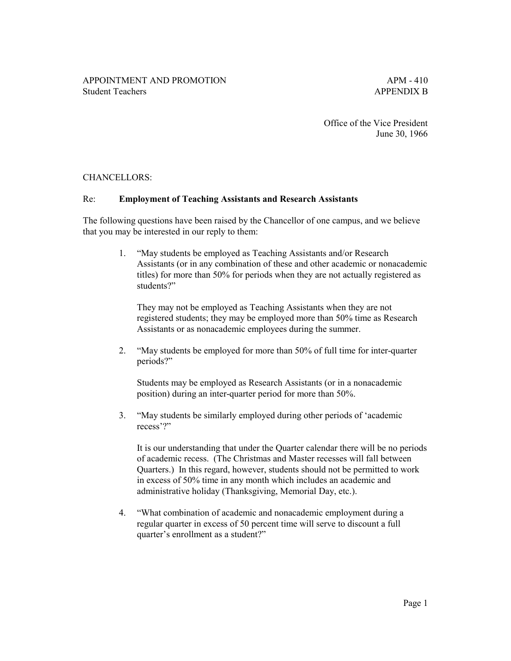Office of the Vice President June 30, 1966

# CHANCELLORS:

### Re: **Employment of Teaching Assistants and Research Assistants**

The following questions have been raised by the Chancellor of one campus, and we believe that you may be interested in our reply to them:

> 1. "May students be employed as Teaching Assistants and/or Research Assistants (or in any combination of these and other academic or nonacademic titles) for more than 50% for periods when they are not actually registered as students?"

They may not be employed as Teaching Assistants when they are not registered students; they may be employed more than 50% time as Research Assistants or as nonacademic employees during the summer.

2. "May students be employed for more than 50% of full time for inter-quarter periods?"

Students may be employed as Research Assistants (or in a nonacademic position) during an inter-quarter period for more than 50%.

3. "May students be similarly employed during other periods of 'academic recess'?"

It is our understanding that under the Quarter calendar there will be no periods of academic recess. (The Christmas and Master recesses will fall between Quarters.) In this regard, however, students should not be permitted to work in excess of 50% time in any month which includes an academic and administrative holiday (Thanksgiving, Memorial Day, etc.).

4. "What combination of academic and nonacademic employment during a regular quarter in excess of 50 percent time will serve to discount a full quarter's enrollment as a student?"